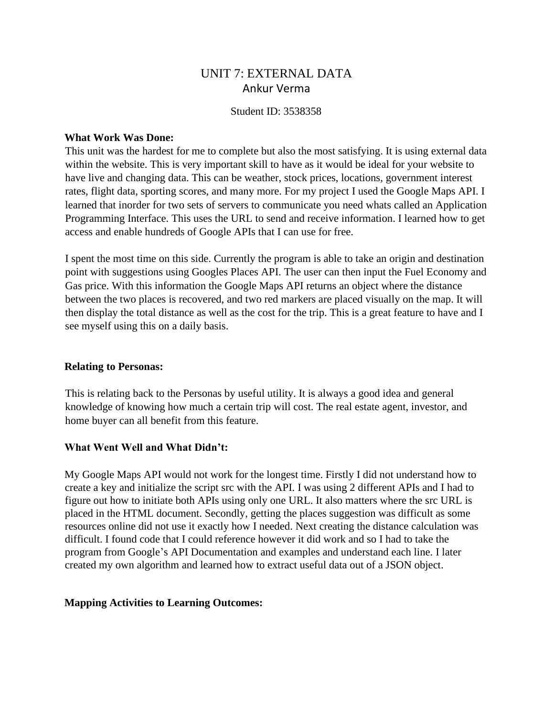# UNIT 7: EXTERNAL DATA Ankur Verma

### Student ID: 3538358

### **What Work Was Done:**

This unit was the hardest for me to complete but also the most satisfying. It is using external data within the website. This is very important skill to have as it would be ideal for your website to have live and changing data. This can be weather, stock prices, locations, government interest rates, flight data, sporting scores, and many more. For my project I used the Google Maps API. I learned that inorder for two sets of servers to communicate you need whats called an Application Programming Interface. This uses the URL to send and receive information. I learned how to get access and enable hundreds of Google APIs that I can use for free.

I spent the most time on this side. Currently the program is able to take an origin and destination point with suggestions using Googles Places API. The user can then input the Fuel Economy and Gas price. With this information the Google Maps API returns an object where the distance between the two places is recovered, and two red markers are placed visually on the map. It will then display the total distance as well as the cost for the trip. This is a great feature to have and I see myself using this on a daily basis.

# **Relating to Personas:**

This is relating back to the Personas by useful utility. It is always a good idea and general knowledge of knowing how much a certain trip will cost. The real estate agent, investor, and home buyer can all benefit from this feature.

# **What Went Well and What Didn't:**

My Google Maps API would not work for the longest time. Firstly I did not understand how to create a key and initialize the script src with the API. I was using 2 different APIs and I had to figure out how to initiate both APIs using only one URL. It also matters where the src URL is placed in the HTML document. Secondly, getting the places suggestion was difficult as some resources online did not use it exactly how I needed. Next creating the distance calculation was difficult. I found code that I could reference however it did work and so I had to take the program from Google's API Documentation and examples and understand each line. I later created my own algorithm and learned how to extract useful data out of a JSON object.

#### **Mapping Activities to Learning Outcomes:**